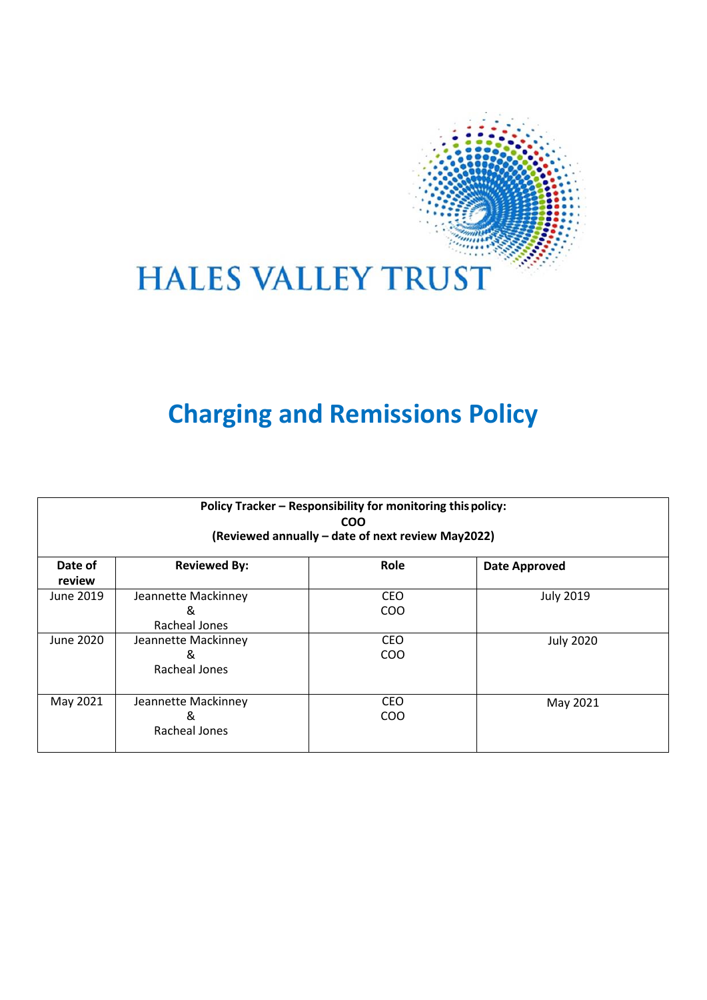

# **HALES VALLEY TRUST**

# **Charging and Remissions Policy**

| Policy Tracker - Responsibility for monitoring this policy:<br><b>COO</b><br>(Reviewed annually – date of next review May2022) |                     |            |                      |
|--------------------------------------------------------------------------------------------------------------------------------|---------------------|------------|----------------------|
| Date of                                                                                                                        | <b>Reviewed By:</b> | Role       | <b>Date Approved</b> |
| review                                                                                                                         |                     |            |                      |
| June 2019                                                                                                                      | Jeannette Mackinney | <b>CEO</b> | <b>July 2019</b>     |
|                                                                                                                                | &                   | <b>COO</b> |                      |
|                                                                                                                                | Racheal Jones       |            |                      |
| June 2020                                                                                                                      | Jeannette Mackinney | <b>CEO</b> | <b>July 2020</b>     |
|                                                                                                                                | &                   | COO        |                      |
|                                                                                                                                | Racheal Jones       |            |                      |
| May 2021                                                                                                                       | Jeannette Mackinney | <b>CEO</b> | May 2021             |
|                                                                                                                                | &                   | <b>COO</b> |                      |
|                                                                                                                                | Racheal Jones       |            |                      |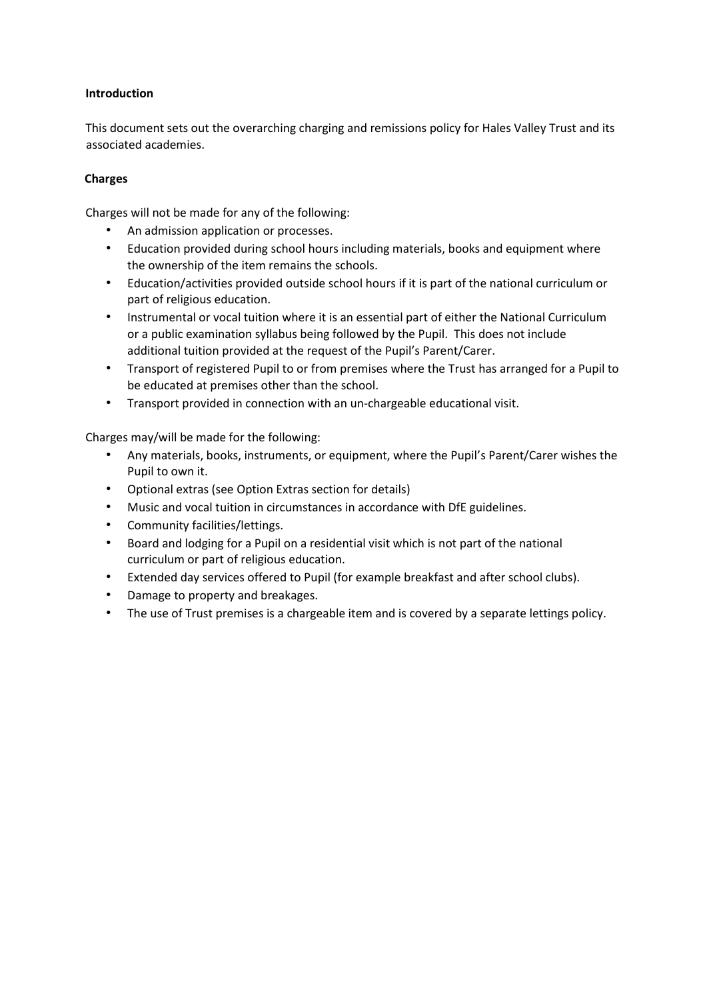## **Introduction**

This document sets out the overarching charging and remissions policy for Hales Valley Trust and its associated academies.

## **Charges**

Charges will not be made for any of the following:

- An admission application or processes.
- Education provided during school hours including materials, books and equipment where the ownership of the item remains the schools.
- Education/activities provided outside school hours if it is part of the national curriculum or part of religious education.
- Instrumental or vocal tuition where it is an essential part of either the National Curriculum or a public examination syllabus being followed by the Pupil. This does not include additional tuition provided at the request of the Pupil's Parent/Carer.
- Transport of registered Pupil to or from premises where the Trust has arranged for a Pupil to be educated at premises other than the school.
- Transport provided in connection with an un-chargeable educational visit.

Charges may/will be made for the following:

- Any materials, books, instruments, or equipment, where the Pupil's Parent/Carer wishes the Pupil to own it.
- Optional extras (see Option Extras section for details)
- Music and vocal tuition in circumstances in accordance with DfE guidelines.
- Community facilities/lettings.
- Board and lodging for a Pupil on a residential visit which is not part of the national curriculum or part of religious education.
- Extended day services offered to Pupil (for example breakfast and after school clubs).
- Damage to property and breakages.
- The use of Trust premises is a chargeable item and is covered by a separate lettings policy.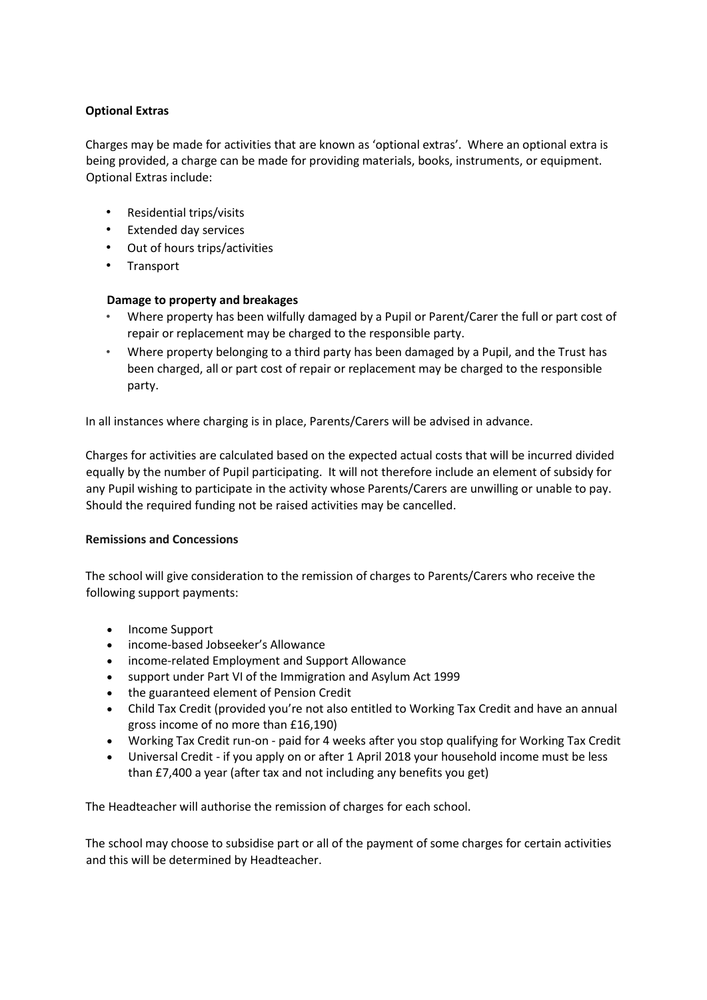## **Optional Extras**

Charges may be made for activities that are known as 'optional extras'. Where an optional extra is being provided, a charge can be made for providing materials, books, instruments, or equipment. Optional Extras include:

- Residential trips/visits
- Extended day services
- Out of hours trips/activities
- Transport

#### **Damage to property and breakages**

- Where property has been wilfully damaged by a Pupil or Parent/Carer the full or part cost of repair or replacement may be charged to the responsible party.
- Where property belonging to a third party has been damaged by a Pupil, and the Trust has been charged, all or part cost of repair or replacement may be charged to the responsible party.

In all instances where charging is in place, Parents/Carers will be advised in advance.

Charges for activities are calculated based on the expected actual costs that will be incurred divided equally by the number of Pupil participating. It will not therefore include an element of subsidy for any Pupil wishing to participate in the activity whose Parents/Carers are unwilling or unable to pay. Should the required funding not be raised activities may be cancelled.

#### **Remissions and Concessions**

The school will give consideration to the remission of charges to Parents/Carers who receive the following support payments:

- Income Support
- income-based Jobseeker's Allowance
- income-related Employment and Support Allowance
- support under Part VI of the Immigration and Asylum Act 1999
- the guaranteed element of Pension Credit
- Child Tax Credit (provided you're not also entitled to Working Tax Credit and have an annual gross income of no more than £16,190)
- Working Tax Credit run-on paid for 4 weeks after you stop qualifying for Working Tax Credit
- Universal Credit if you apply on or after 1 April 2018 your household income must be less than £7,400 a year (after tax and not including any benefits you get)

The Headteacher will authorise the remission of charges for each school.

The school may choose to subsidise part or all of the payment of some charges for certain activities and this will be determined by Headteacher.